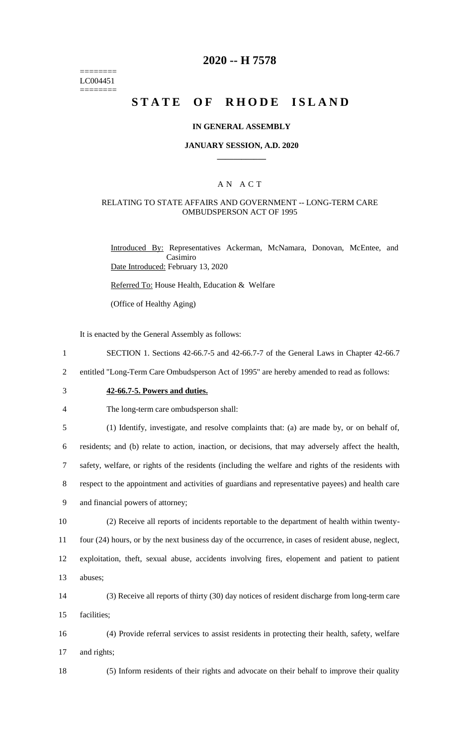======== LC004451 ========

# **2020 -- H 7578**

# **STATE OF RHODE ISLAND**

### **IN GENERAL ASSEMBLY**

#### **JANUARY SESSION, A.D. 2020 \_\_\_\_\_\_\_\_\_\_\_\_**

### A N A C T

### RELATING TO STATE AFFAIRS AND GOVERNMENT -- LONG-TERM CARE OMBUDSPERSON ACT OF 1995

Introduced By: Representatives Ackerman, McNamara, Donovan, McEntee, and Casimiro Date Introduced: February 13, 2020

Referred To: House Health, Education & Welfare

(Office of Healthy Aging)

It is enacted by the General Assembly as follows:

- 1 SECTION 1. Sections 42-66.7-5 and 42-66.7-7 of the General Laws in Chapter 42-66.7
- 2 entitled "Long-Term Care Ombudsperson Act of 1995" are hereby amended to read as follows:
- 

# 3 **42-66.7-5. Powers and duties.**

4 The long-term care ombudsperson shall:

 (1) Identify, investigate, and resolve complaints that: (a) are made by, or on behalf of, residents; and (b) relate to action, inaction, or decisions, that may adversely affect the health, safety, welfare, or rights of the residents (including the welfare and rights of the residents with respect to the appointment and activities of guardians and representative payees) and health care and financial powers of attorney;

 (2) Receive all reports of incidents reportable to the department of health within twenty- four (24) hours, or by the next business day of the occurrence, in cases of resident abuse, neglect, exploitation, theft, sexual abuse, accidents involving fires, elopement and patient to patient 13 abuses;

14 (3) Receive all reports of thirty (30) day notices of resident discharge from long-term care 15 facilities;

16 (4) Provide referral services to assist residents in protecting their health, safety, welfare 17 and rights;

18 (5) Inform residents of their rights and advocate on their behalf to improve their quality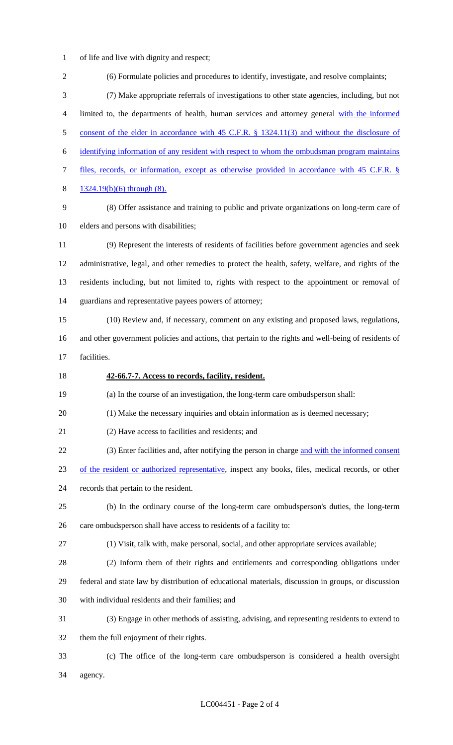- of life and live with dignity and respect;
- (6) Formulate policies and procedures to identify, investigate, and resolve complaints; (7) Make appropriate referrals of investigations to other state agencies, including, but not limited to, the departments of health, human services and attorney general with the informed 5 consent of the elder in accordance with 45 C.F.R. § 1324.11(3) and without the disclosure of identifying information of any resident with respect to whom the ombudsman program maintains files, records, or information, except as otherwise provided in accordance with 45 C.F.R. § 1324.19(b)(6) through (8). (8) Offer assistance and training to public and private organizations on long-term care of elders and persons with disabilities; (9) Represent the interests of residents of facilities before government agencies and seek administrative, legal, and other remedies to protect the health, safety, welfare, and rights of the residents including, but not limited to, rights with respect to the appointment or removal of guardians and representative payees powers of attorney; (10) Review and, if necessary, comment on any existing and proposed laws, regulations, and other government policies and actions, that pertain to the rights and well-being of residents of facilities. **42-66.7-7. Access to records, facility, resident.** (a) In the course of an investigation, the long-term care ombudsperson shall: (1) Make the necessary inquiries and obtain information as is deemed necessary; (2) Have access to facilities and residents; and (3) Enter facilities and, after notifying the person in charge and with the informed consent of the resident or authorized representative, inspect any books, files, medical records, or other records that pertain to the resident. (b) In the ordinary course of the long-term care ombudsperson's duties, the long-term care ombudsperson shall have access to residents of a facility to: (1) Visit, talk with, make personal, social, and other appropriate services available; (2) Inform them of their rights and entitlements and corresponding obligations under federal and state law by distribution of educational materials, discussion in groups, or discussion with individual residents and their families; and (3) Engage in other methods of assisting, advising, and representing residents to extend to them the full enjoyment of their rights. (c) The office of the long-term care ombudsperson is considered a health oversight agency.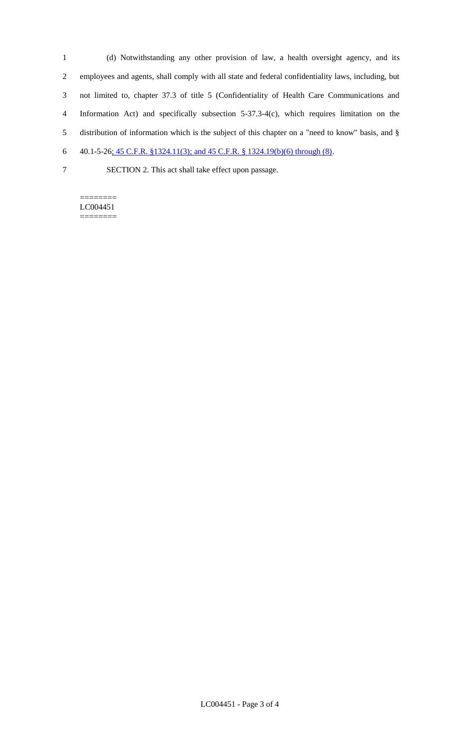(d) Notwithstanding any other provision of law, a health oversight agency, and its employees and agents, shall comply with all state and federal confidentiality laws, including, but not limited to, chapter 37.3 of title 5 (Confidentiality of Health Care Communications and Information Act) and specifically subsection 5-37.3-4(c), which requires limitation on the distribution of information which is the subject of this chapter on a "need to know" basis, and § 40.1-5-26; 45 C.F.R. §1324.11(3); and 45 C.F.R. § 1324.19(b)(6) through (8).

SECTION 2. This act shall take effect upon passage.

======== LC004451 ========